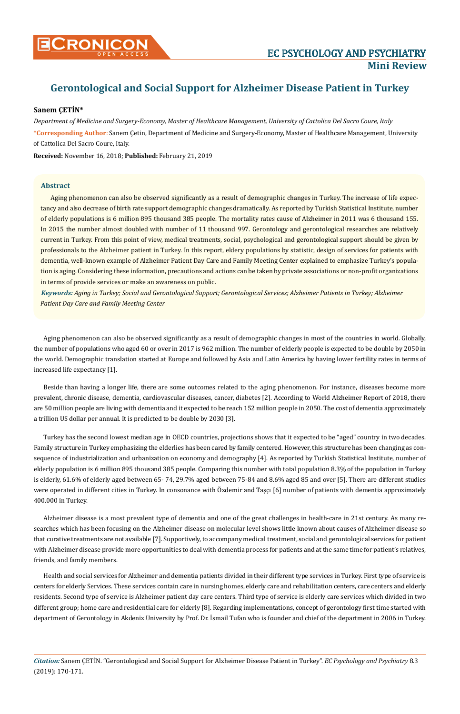

# **Gerontological and Social Support for Alzheimer Disease Patient in Turkey**

## **Sanem ÇETİN\***

*Department of Medicine and Surgery-Economy, Master of Healthcare Management, University of Cattolica Del Sacro Coure, Italy* **\*Corresponding Author**: Sanem Çetin, Department of Medicine and Surgery-Economy, Master of Healthcare Management, University of Cattolica Del Sacro Coure, Italy.

**Received:** November 16, 2018; **Published:** February 21, 2019

### **Abstract**

Aging phenomenon can also be observed significantly as a result of demographic changes in Turkey. The increase of life expectancy and also decrease of birth rate support demographic changes dramatically. As reported by Turkish Statistical Institute, number of elderly populations is 6 million 895 thousand 385 people. The mortality rates cause of Alzheimer in 2011 was 6 thousand 155. In 2015 the number almost doubled with number of 11 thousand 997. Gerontology and gerontological researches are relatively current in Turkey. From this point of view, medical treatments, social, psychological and gerontological support should be given by professionals to the Alzheimer patient in Turkey. In this report, eldery populations by statistic, design of services for patients with dementia, well-known example of Alzheimer Patient Day Care and Family Meeting Center explained to emphasize Turkey's population is aging. Considering these information, precautions and actions can be taken by private associations or non-profit organizations in terms of provide services or make an awareness on public.

*Keywords: Aging in Turkey; Social and Gerontological Support; Gerontological Services; Alzheimer Patients in Turkey; Alzheimer Patient Day Care and Family Meeting Center*

Aging phenomenon can also be observed significantly as a result of demographic changes in most of the countries in world. Globally, the number of populations who aged 60 or over in 2017 is 962 million. The number of elderly people is expected to be double by 2050 in the world. Demographic translation started at Europe and followed by Asia and Latin America by having lower fertility rates in terms of increased life expectancy [1].

Beside than having a longer life, there are some outcomes related to the aging phenomenon. For instance, diseases become more prevalent, chronic disease, dementia, cardiovascular diseases, cancer, diabetes [2]. According to World Alzheimer Report of 2018, there are 50 million people are living with dementia and it expected to be reach 152 million people in 2050. The cost of dementia approximately a trillion US dollar per annual. It is predicted to be double by 2030 [3].

Turkey has the second lowest median age in OECD countries, projections shows that it expected to be "aged" country in two decades. Family structure in Turkey emphasizing the elderlies has been cared by family centered. However, this structure has been changing as consequence of industrialization and urbanization on economy and demography [4]. As reported by Turkish Statistical Institute, number of elderly population is 6 million 895 thousand 385 people. Comparing this number with total population 8.3% of the population in Turkey is elderly, 61.6% of elderly aged between 65- 74, 29.7% aged between 75-84 and 8.6% aged 85 and over [5]. There are different studies were operated in different cities in Turkey. In consonance with Özdemir and Taşçı [6] number of patients with dementia approximately 400.000 in Turkey.

Alzheimer disease is a most prevalent type of dementia and one of the great challenges in health-care in 21st century. As many researches which has been focusing on the Alzheimer disease on molecular level shows little known about causes of Alzheimer disease so that curative treatments are not available [7]. Supportively, to accompany medical treatment, social and gerontological services for patient with Alzheimer disease provide more opportunities to deal with dementia process for patients and at the same time for patient's relatives, friends, and family members.

Health and social services for Alzheimer and dementia patients divided in their different type services in Turkey. First type of service is centers for elderly Services. These services contain care in nursing homes, elderly care and rehabilitation centers, care centers and elderly residents. Second type of service is Alzheimer patient day care centers. Third type of service is elderly care services which divided in two different group; home care and residential care for elderly [8]. Regarding implementations, concept of gerontology first time started with department of Gerontology in Akdeniz University by Prof. Dr. İsmail Tufan who is founder and chief of the department in 2006 in Turkey.

*Citation:* Sanem ÇETİN. "Gerontological and Social Support for Alzheimer Disease Patient in Turkey". *EC Psychology and Psychiatry* 8.3 (2019): 170-171.